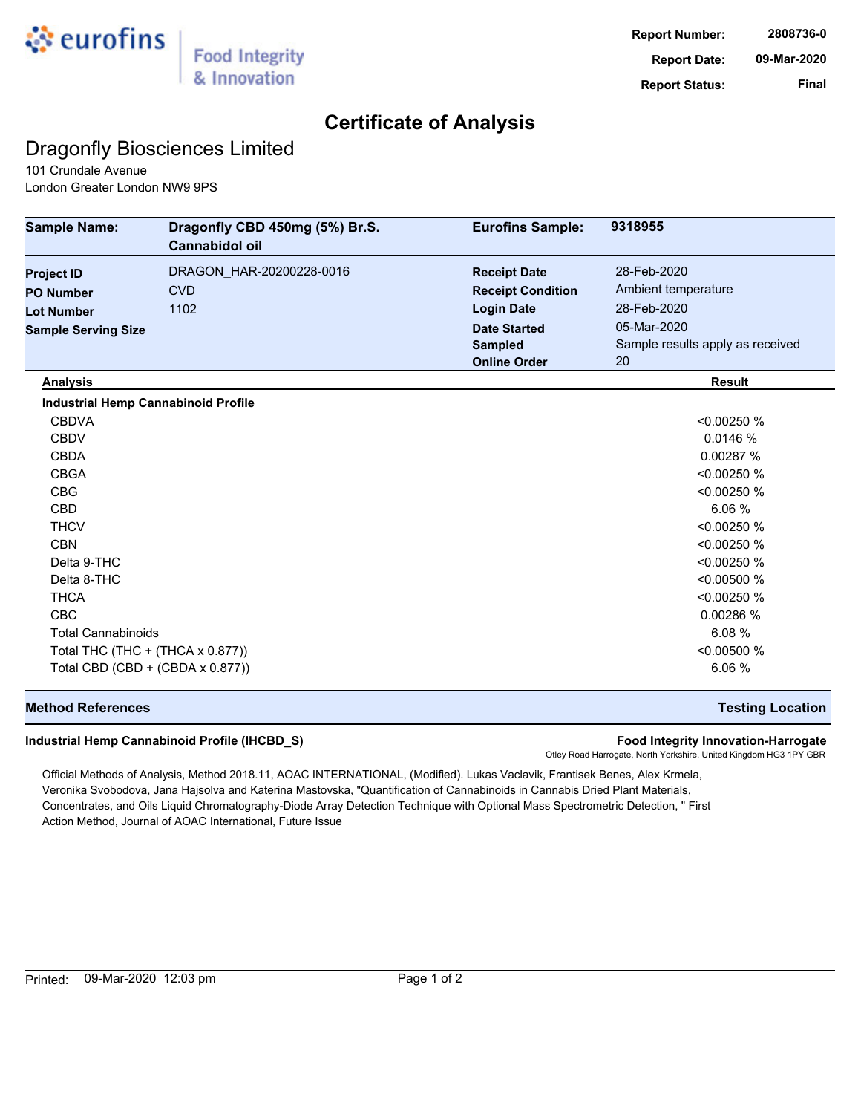

## **Certificate of Analysis**

## Dragonfly Biosciences Limited

101 Crundale Avenue London Greater London NW9 9PS

| <b>Sample Name:</b>                        | Dragonfly CBD 450mg (5%) Br.S.<br>Cannabidol oil | <b>Eurofins Sample:</b>  | 9318955                          |
|--------------------------------------------|--------------------------------------------------|--------------------------|----------------------------------|
| <b>Project ID</b>                          | DRAGON_HAR-20200228-0016                         | <b>Receipt Date</b>      | 28-Feb-2020                      |
| <b>PO Number</b>                           | <b>CVD</b>                                       | <b>Receipt Condition</b> | Ambient temperature              |
| <b>Lot Number</b>                          | 1102                                             | <b>Login Date</b>        | 28-Feb-2020                      |
| <b>Sample Serving Size</b>                 |                                                  | <b>Date Started</b>      | 05-Mar-2020                      |
|                                            |                                                  | <b>Sampled</b>           | Sample results apply as received |
|                                            |                                                  | <b>Online Order</b>      | 20                               |
| <b>Analysis</b>                            |                                                  |                          | <b>Result</b>                    |
| <b>Industrial Hemp Cannabinoid Profile</b> |                                                  |                          |                                  |
| <b>CBDVA</b>                               |                                                  |                          | < 0.00250 %                      |
| <b>CBDV</b>                                |                                                  |                          | 0.0146 %                         |
| <b>CBDA</b>                                |                                                  |                          | 0.00287 %                        |
| <b>CBGA</b>                                |                                                  |                          | < 0.00250 %                      |
| <b>CBG</b>                                 |                                                  |                          | < 0.00250 %                      |
| CBD                                        |                                                  |                          | 6.06 %                           |
| <b>THCV</b>                                |                                                  |                          | < 0.00250 %                      |
| <b>CBN</b>                                 |                                                  |                          | < 0.00250 %                      |
| Delta 9-THC                                |                                                  |                          | < 0.00250 %                      |
| Delta 8-THC                                |                                                  |                          | < 0.00500 %                      |
| <b>THCA</b>                                |                                                  |                          | < 0.00250 %                      |
| <b>CBC</b>                                 |                                                  |                          | 0.00286 %                        |
| <b>Total Cannabinoids</b>                  |                                                  |                          | 6.08%                            |
| Total THC (THC + (THCA x 0.877))           |                                                  |                          | < 0.00500 %                      |
| Total CBD (CBD + (CBDA x 0.877))           |                                                  |                          | 6.06 %                           |

### **Method References Testing Location**

### **Industrial Hemp Cannabinoid Profile (IHCBD\_S) Food Integrity Innovation-Harrogate**

Otley Road Harrogate, North Yorkshire, United Kingdom HG3 1PY GBR

Official Methods of Analysis, Method 2018.11, AOAC INTERNATIONAL, (Modified). Lukas Vaclavik, Frantisek Benes, Alex Krmela, Veronika Svobodova, Jana Hajsolva and Katerina Mastovska, "Quantification of Cannabinoids in Cannabis Dried Plant Materials, Concentrates, and Oils Liquid Chromatography-Diode Array Detection Technique with Optional Mass Spectrometric Detection, " First Action Method, Journal of AOAC International, Future Issue